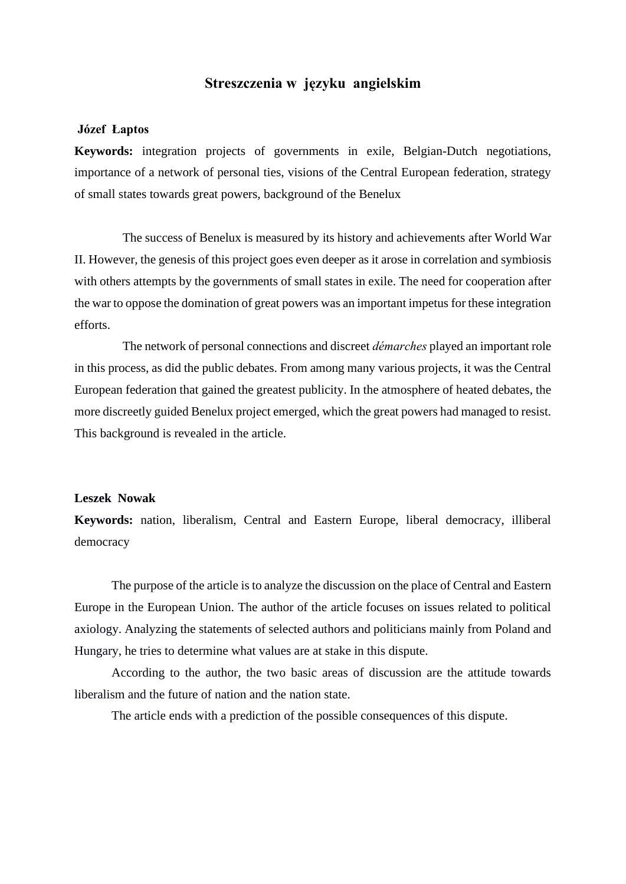# **Streszczenia w języku angielskim**

#### **Józef Łaptos**

**Keywords:** integration projects of governments in exile, Belgian-Dutch negotiations, importance of a network of personal ties, visions of the Central European federation, strategy of small states towards great powers, background of the Benelux

The success of Benelux is measured by its history and achievements after World War II. However, the genesis of this project goes even deeper as it arose in correlation and symbiosis with others attempts by the governments of small states in exile. The need for cooperation after the war to oppose the domination of great powers was an important impetus for these integration efforts.

The network of personal connections and discreet *démarches* played an important role in this process, as did the public debates. From among many various projects, it was the Central European federation that gained the greatest publicity. In the atmosphere of heated debates, the more discreetly guided Benelux project emerged, which the great powers had managed to resist. This background is revealed in the article.

## **Leszek Nowak**

**Keywords:** nation, liberalism, Central and Eastern Europe, liberal democracy, illiberal democracy

The purpose of the article is to analyze the discussion on the place of Central and Eastern Europe in the European Union. The author of the article focuses on issues related to political axiology. Analyzing the statements of selected authors and politicians mainly from Poland and Hungary, he tries to determine what values are at stake in this dispute.

According to the author, the two basic areas of discussion are the attitude towards liberalism and the future of nation and the nation state.

The article ends with a prediction of the possible consequences of this dispute.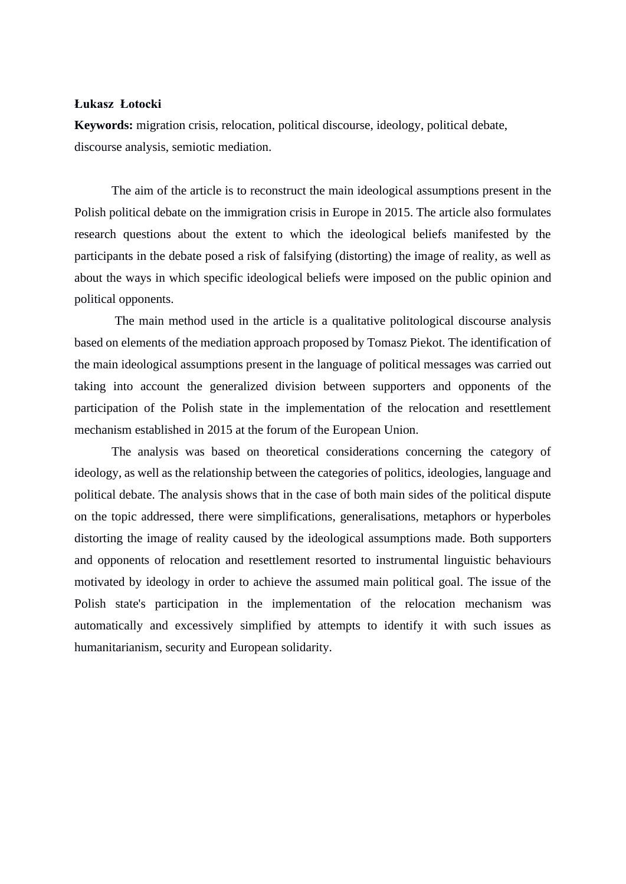# **Łukasz Łotocki**

**Keywords:** migration crisis, relocation, political discourse, ideology, political debate, discourse analysis, semiotic mediation.

The aim of the article is to reconstruct the main ideological assumptions present in the Polish political debate on the immigration crisis in Europe in 2015. The article also formulates research questions about the extent to which the ideological beliefs manifested by the participants in the debate posed a risk of falsifying (distorting) the image of reality, as well as about the ways in which specific ideological beliefs were imposed on the public opinion and political opponents.

The main method used in the article is a qualitative politological discourse analysis based on elements of the mediation approach proposed by Tomasz Piekot. The identification of the main ideological assumptions present in the language of political messages was carried out taking into account the generalized division between supporters and opponents of the participation of the Polish state in the implementation of the relocation and resettlement mechanism established in 2015 at the forum of the European Union.

The analysis was based on theoretical considerations concerning the category of ideology, as well as the relationship between the categories of politics, ideologies, language and political debate. The analysis shows that in the case of both main sides of the political dispute on the topic addressed, there were simplifications, generalisations, metaphors or hyperboles distorting the image of reality caused by the ideological assumptions made. Both supporters and opponents of relocation and resettlement resorted to instrumental linguistic behaviours motivated by ideology in order to achieve the assumed main political goal. The issue of the Polish state's participation in the implementation of the relocation mechanism was automatically and excessively simplified by attempts to identify it with such issues as humanitarianism, security and European solidarity.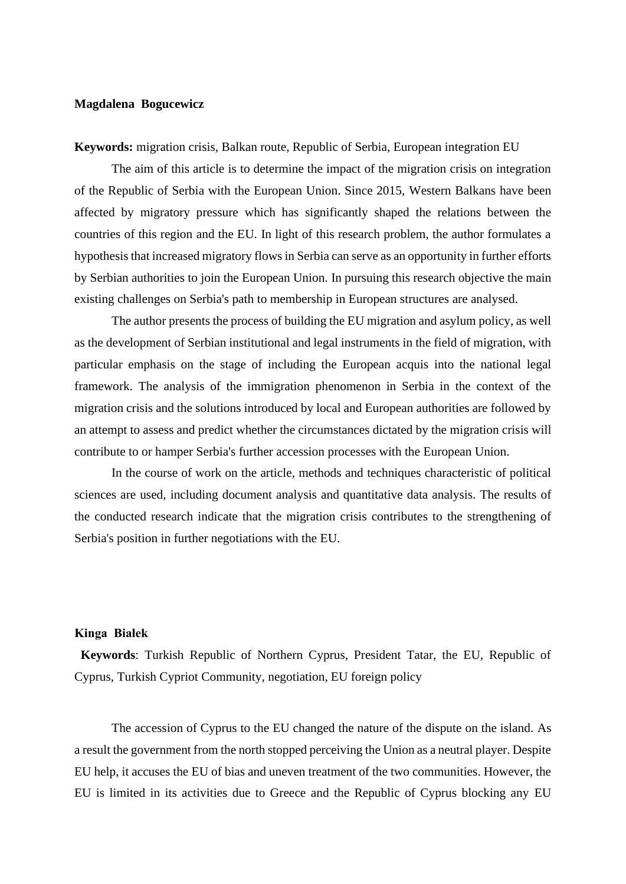## **Magdalena Bogucewicz**

**Keywords:** migration crisis, Balkan route, Republic of Serbia, European integration EU

The aim of this article is to determine the impact of the migration crisis on integration of the Republic of Serbia with the European Union. Since 2015, Western Balkans have been affected by migratory pressure which has significantly shaped the relations between the countries of this region and the EU. In light of this research problem, the author formulates a hypothesis that increased migratory flows in Serbia can serve as an opportunity in further efforts by Serbian authorities to join the European Union. In pursuing this research objective the main existing challenges on Serbia's path to membership in European structures are analysed.

The author presents the process of building the EU migration and asylum policy, as well as the development of Serbian institutional and legal instruments in the field of migration, with particular emphasis on the stage of including the European acquis into the national legal framework. The analysis of the immigration phenomenon in Serbia in the context of the migration crisis and the solutions introduced by local and European authorities are followed by an attempt to assess and predict whether the circumstances dictated by the migration crisis will contribute to or hamper Serbia's further accession processes with the European Union.

In the course of work on the article, methods and techniques characteristic of political sciences are used, including document analysis and quantitative data analysis. The results of the conducted research indicate that the migration crisis contributes to the strengthening of Serbia's position in further negotiations with the EU.

## **Kinga Białek**

**Keywords**: Turkish Republic of Northern Cyprus, President Tatar, the EU, Republic of Cyprus, Turkish Cypriot Community, negotiation, EU foreign policy

The accession of Cyprus to the EU changed the nature of the dispute on the island. As a result the government from the north stopped perceiving the Union as a neutral player. Despite EU help, it accuses the EU of bias and uneven treatment of the two communities. However, the EU is limited in its activities due to Greece and the Republic of Cyprus blocking any EU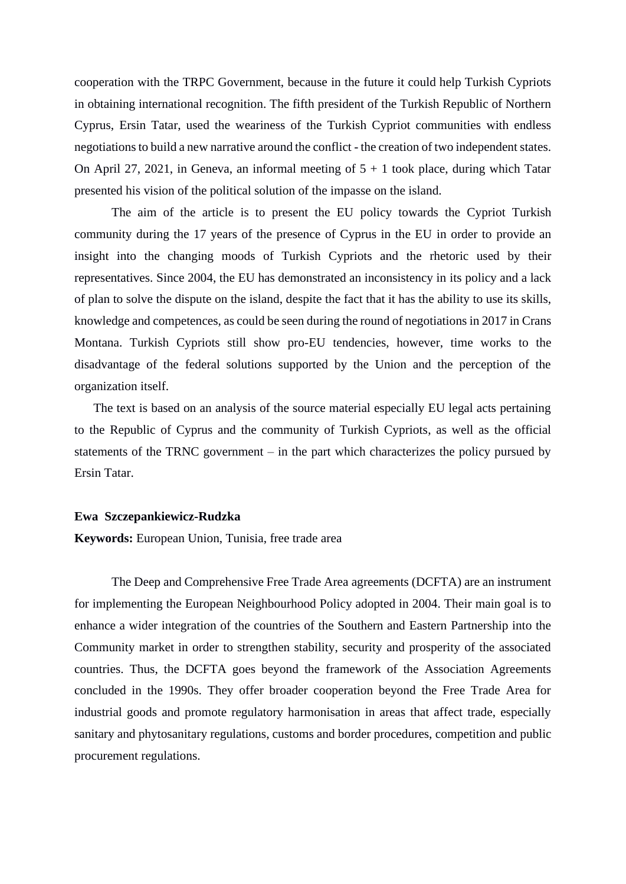cooperation with the TRPC Government, because in the future it could help Turkish Cypriots in obtaining international recognition. The fifth president of the Turkish Republic of Northern Cyprus, Ersin Tatar, used the weariness of the Turkish Cypriot communities with endless negotiations to build a new narrative around the conflict - the creation of two independent states. On April 27, 2021, in Geneva, an informal meeting of  $5 + 1$  took place, during which Tatar presented his vision of the political solution of the impasse on the island.

The aim of the article is to present the EU policy towards the Cypriot Turkish community during the 17 years of the presence of Cyprus in the EU in order to provide an insight into the changing moods of Turkish Cypriots and the rhetoric used by their representatives. Since 2004, the EU has demonstrated an inconsistency in its policy and a lack of plan to solve the dispute on the island, despite the fact that it has the ability to use its skills, knowledge and competences, as could be seen during the round of negotiations in 2017 in Crans Montana. Turkish Cypriots still show pro-EU tendencies, however, time works to the disadvantage of the federal solutions supported by the Union and the perception of the organization itself.

The text is based on an analysis of the source material especially EU legal acts pertaining to the Republic of Cyprus and the community of Turkish Cypriots, as well as the official statements of the TRNC government – in the part which characterizes the policy pursued by Ersin Tatar.

## **Ewa Szczepankiewicz-Rudzka**

**Keywords:** European Union, Tunisia, free trade area

The Deep and Comprehensive Free Trade Area agreements (DCFTA) are an instrument for implementing the European Neighbourhood Policy adopted in 2004. Their main goal is to enhance a wider integration of the countries of the Southern and Eastern Partnership into the Community market in order to strengthen stability, security and prosperity of the associated countries. Thus, the DCFTA goes beyond the framework of the Association Agreements concluded in the 1990s. They offer broader cooperation beyond the Free Trade Area for industrial goods and promote regulatory harmonisation in areas that affect trade, especially sanitary and phytosanitary regulations, customs and border procedures, competition and public procurement regulations.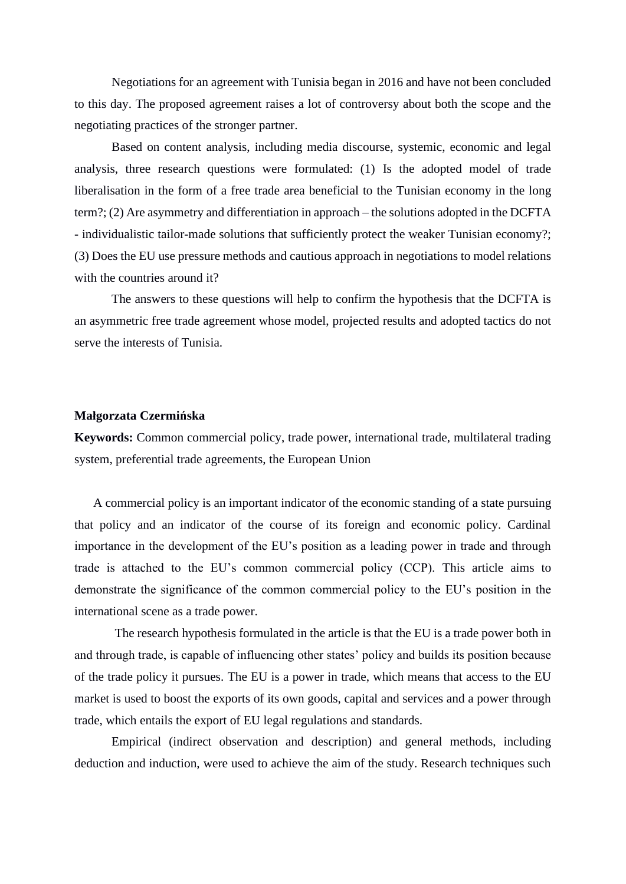Negotiations for an agreement with Tunisia began in 2016 and have not been concluded to this day. The proposed agreement raises a lot of controversy about both the scope and the negotiating practices of the stronger partner.

Based on content analysis, including media discourse, systemic, economic and legal analysis, three research questions were formulated: (1) Is the adopted model of trade liberalisation in the form of a free trade area beneficial to the Tunisian economy in the long term?; (2) Are asymmetry and differentiation in approach – the solutions adopted in the DCFTA - individualistic tailor-made solutions that sufficiently protect the weaker Tunisian economy?; (3) Does the EU use pressure methods and cautious approach in negotiations to model relations with the countries around it?

The answers to these questions will help to confirm the hypothesis that the DCFTA is an asymmetric free trade agreement whose model, projected results and adopted tactics do not serve the interests of Tunisia.

## **Małgorzata Czermińska**

**Keywords:** Common commercial policy, trade power, international trade, multilateral trading system, preferential trade agreements, the European Union

A commercial policy is an important indicator of the economic standing of a state pursuing that policy and an indicator of the course of its foreign and economic policy. Cardinal importance in the development of the EU's position as a leading power in trade and through trade is attached to the EU's common commercial policy (CCP). This article aims to demonstrate the significance of the common commercial policy to the EU's position in the international scene as a trade power.

The research hypothesis formulated in the article is that the EU is a trade power both in and through trade, is capable of influencing other states' policy and builds its position because of the trade policy it pursues. The EU is a power in trade, which means that access to the EU market is used to boost the exports of its own goods, capital and services and a power through trade, which entails the export of EU legal regulations and standards.

Empirical (indirect observation and description) and general methods, including deduction and induction, were used to achieve the aim of the study. Research techniques such